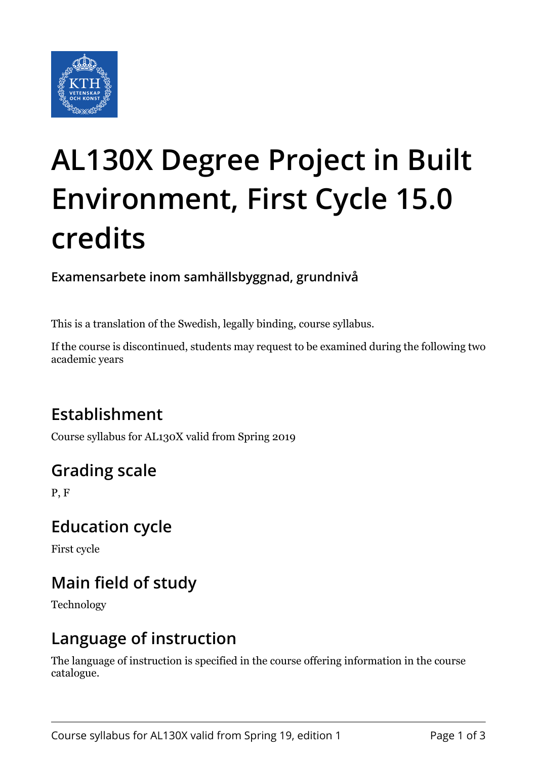

# **AL130X Degree Project in Built Environment, First Cycle 15.0 credits**

**Examensarbete inom samhällsbyggnad, grundnivå**

This is a translation of the Swedish, legally binding, course syllabus.

If the course is discontinued, students may request to be examined during the following two academic years

# **Establishment**

Course syllabus for AL130X valid from Spring 2019

# **Grading scale**

P, F

## **Education cycle**

First cycle

# **Main field of study**

Technology

## **Language of instruction**

The language of instruction is specified in the course offering information in the course catalogue.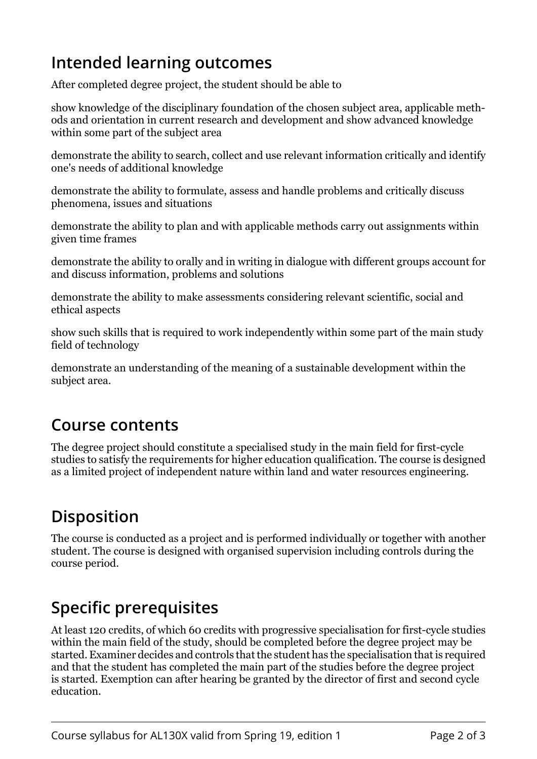## **Intended learning outcomes**

After completed degree project, the student should be able to

show knowledge of the disciplinary foundation of the chosen subject area, applicable methods and orientation in current research and development and show advanced knowledge within some part of the subject area

demonstrate the ability to search, collect and use relevant information critically and identify one's needs of additional knowledge

demonstrate the ability to formulate, assess and handle problems and critically discuss phenomena, issues and situations

demonstrate the ability to plan and with applicable methods carry out assignments within given time frames

demonstrate the ability to orally and in writing in dialogue with different groups account for and discuss information, problems and solutions

demonstrate the ability to make assessments considering relevant scientific, social and ethical aspects

show such skills that is required to work independently within some part of the main study field of technology

demonstrate an understanding of the meaning of a sustainable development within the subject area.

#### **Course contents**

The degree project should constitute a specialised study in the main field for first-cycle studies to satisfy the requirements for higher education qualification. The course is designed as a limited project of independent nature within land and water resources engineering.

# **Disposition**

The course is conducted as a project and is performed individually or together with another student. The course is designed with organised supervision including controls during the course period.

#### **Specific prerequisites**

At least 120 credits, of which 60 credits with progressive specialisation for first-cycle studies within the main field of the study, should be completed before the degree project may be started. Examiner decides and controls that the student has the specialisation that is required and that the student has completed the main part of the studies before the degree project is started. Exemption can after hearing be granted by the director of first and second cycle education.